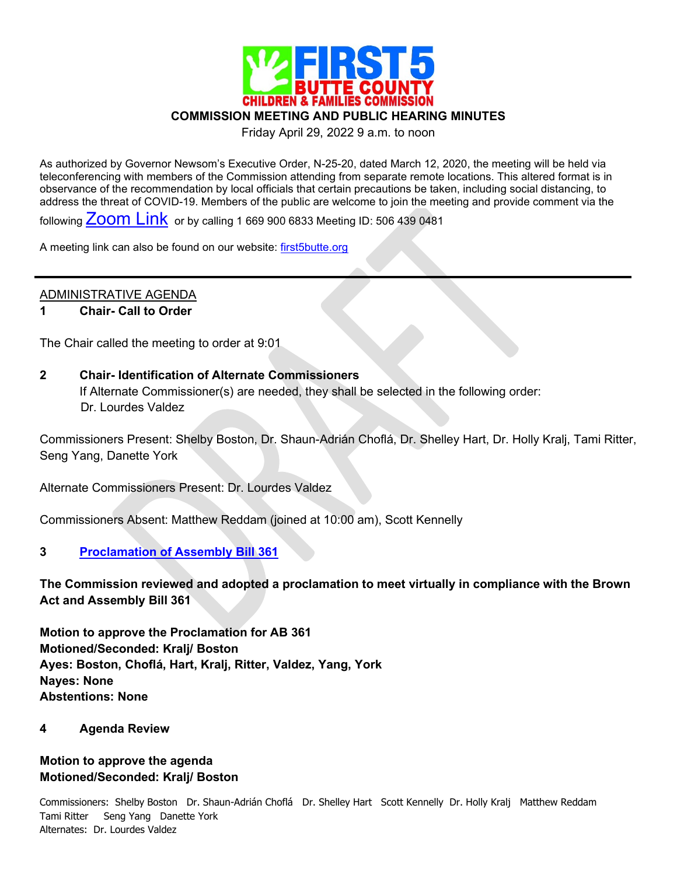

**COMMISSION MEETING AND PUBLIC HEARING MINUTES**

Friday April 29, 2022 9 a.m. to noon

As authorized by Governor Newsom's Executive Order, N-25-20, dated March 12, 2020, the meeting will be held via teleconferencing with members of the Commission attending from separate remote locations. This altered format is in observance of the recommendation by local officials that certain precautions be taken, including social distancing, to address the threat of COVID-19. Members of the public are welcome to join the meeting and provide comment via the

following  $Z$ <sup>OO</sup>M  $Link$  or by calling 1 669 900 6833 Meeting ID: 506 439 0481

A meeting link can also be found on our website: [first5butte.org](http://first5butte.org/)

## ADMINISTRATIVE AGENDA

#### **1 Chair- Call to Order**

The Chair called the meeting to order at 9:01

#### **2 Chair- Identification of Alternate Commissioners**

If Alternate Commissioner(s) are needed, they shall be selected in the following order:

Dr. Lourdes Valdez

Commissioners Present: Shelby Boston, Dr. Shaun-Adrián Choflá, Dr. Shelley Hart, Dr. Holly Kralj, Tami Ritter, Seng Yang, Danette York

Alternate Commissioners Present: Dr. Lourdes Valdez

Commissioners Absent: Matthew Reddam (joined at 10:00 am), Scott Kennelly

### **3 [Proclamation of Assembly Bill 361](https://first5butte.org/assets/Meetings/Agendas/commission/2022-04-29/Item-3-AB-361-RESOLUTION-8.pdf)**

**The Commission reviewed and adopted a proclamation to meet virtually in compliance with the Brown Act and Assembly Bill 361**

**Motion to approve the Proclamation for AB 361 Motioned/Seconded: Kralj/ Boston Ayes: Boston, Choflá, Hart, Kralj, Ritter, Valdez, Yang, York Nayes: None Abstentions: None**

#### **4 Agenda Review**

# **Motion to approve the agenda Motioned/Seconded: Kralj/ Boston**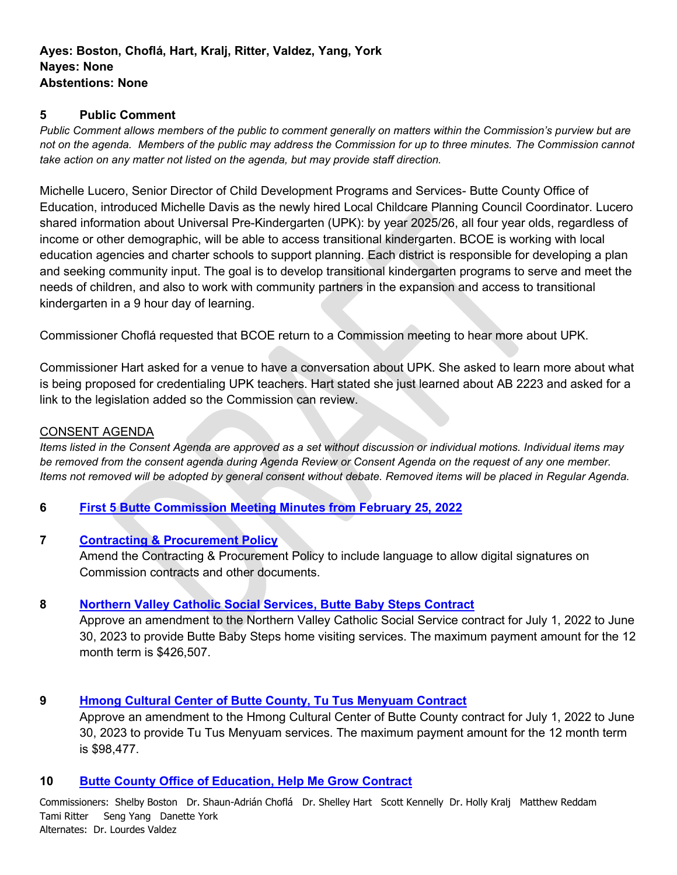## **5 Public Comment**

*Public Comment allows members of the public to comment generally on matters within the Commission's purview but are not on the agenda. Members of the public may address the Commission for up to three minutes. The Commission cannot take action on any matter not listed on the agenda, but may provide staff direction.*

Michelle Lucero, Senior Director of Child Development Programs and Services- Butte County Office of Education, introduced Michelle Davis as the newly hired Local Childcare Planning Council Coordinator. Lucero shared information about Universal Pre-Kindergarten (UPK): by year 2025/26, all four year olds, regardless of income or other demographic, will be able to access transitional kindergarten. BCOE is working with local education agencies and charter schools to support planning. Each district is responsible for developing a plan and seeking community input. The goal is to develop transitional kindergarten programs to serve and meet the needs of children, and also to work with community partners in the expansion and access to transitional kindergarten in a 9 hour day of learning.

Commissioner Choflá requested that BCOE return to a Commission meeting to hear more about UPK.

Commissioner Hart asked for a venue to have a conversation about UPK. She asked to learn more about what is being proposed for credentialing UPK teachers. Hart stated she just learned about AB 2223 and asked for a link to the legislation added so the Commission can review.

## CONSENT AGENDA

*Items listed in the Consent Agenda are approved as a set without discussion or individual motions. Individual items may be removed from the consent agenda during Agenda Review or Consent Agenda on the request of any one member. Items not removed will be adopted by general consent without debate. Removed items will be placed in Regular Agenda.*

# **6 [First 5 Butte Commission Meeting Minutes from February 25, 2022](https://first5butte.org/assets/Meetings/Agendas/commission/2022-04-29/Item-6-February-25-Commission-Meeting-Minutes.pdf)**

### **7 [Contracting & Procurement Policy](https://first5butte.org/assets/Meetings/Agendas/commission/2022-04-29/Item-7-CP-Revision-Digital-Signatures.pdf)**

Amend the Contracting & Procurement Policy to include language to allow digital signatures on Commission contracts and other documents.

# **8 [Northern Valley Catholic Social Services, Butte Baby Steps Contract](https://first5butte.org/assets/Meetings/Agendas/commission/2022-04-29/Item-8-BBS-Amendment-FY-22-23.pdf)**

Approve an amendment to the Northern Valley Catholic Social Service contract for July 1, 2022 to June 30, 2023 to provide Butte Baby Steps home visiting services. The maximum payment amount for the 12 month term is \$426,507.

### **9 [Hmong Cultural Center of Butte County, Tu Tus Menyuam Contract](https://first5butte.org/assets/Meetings/Agendas/commission/2022-04-29/Item-9-RTC-Amendment-FY-22-23.pdf)**

Approve an amendment to the Hmong Cultural Center of Butte County contract for July 1, 2022 to June 30, 2023 to provide Tu Tus Menyuam services. The maximum payment amount for the 12 month term is \$98,477.

### **10 [Butte County Office of Education, Help Me Grow Contract](https://first5butte.org/assets/Meetings/Agendas/commission/2022-04-29/Item-10-BCOE-Amendment-FY-22-23.pdf)**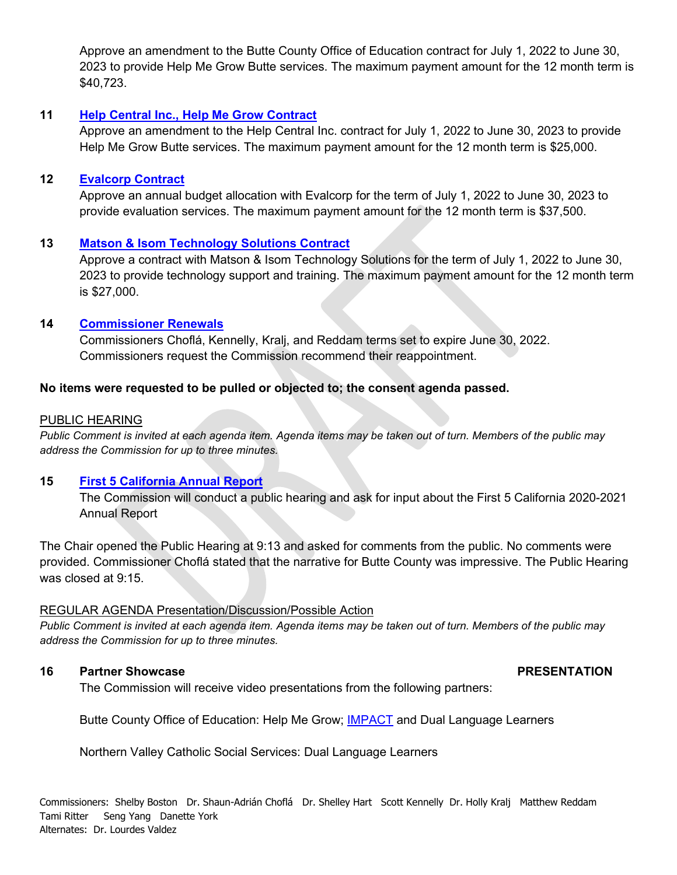Approve an amendment to the Butte County Office of Education contract for July 1, 2022 to June 30, 2023 to provide Help Me Grow Butte services. The maximum payment amount for the 12 month term is \$40,723.

### **11 [Help Central Inc., Help Me Grow Contract](https://first5butte.org/assets/Meetings/Agendas/commission/2022-04-29/Item-11-Help-Central-Amendment-FY-22-23.pdf)**

Approve an amendment to the Help Central Inc. contract for July 1, 2022 to June 30, 2023 to provide Help Me Grow Butte services. The maximum payment amount for the 12 month term is \$25,000.

## **12 [Evalcorp Contract](https://first5butte.org/assets/Meetings/Agendas/commission/2022-04-29/Item-12-EVC-Amendment-FY-22-23.pdf)**

Approve an annual budget allocation with Evalcorp for the term of July 1, 2022 to June 30, 2023 to provide evaluation services. The maximum payment amount for the 12 month term is \$37,500.

### **13 [Matson & Isom Technology Solutions Contract](https://first5butte.org/assets/Meetings/Agendas/commission/2022-04-29/Item-13-MITC-Technology-Solutions-FY-22-23.pdf)**

Approve a contract with Matson & Isom Technology Solutions for the term of July 1, 2022 to June 30, 2023 to provide technology support and training. The maximum payment amount for the 12 month term is \$27,000.

### **14 [Commissioner Renewals](https://first5butte.org/assets/Meetings/Agendas/commission/2022-04-29/Item-14-Commissioner-Renewals.pdf)**

Commissioners Choflá, Kennelly, Kralj, and Reddam terms set to expire June 30, 2022. Commissioners request the Commission recommend their reappointment.

## **No items were requested to be pulled or objected to; the consent agenda passed.**

### PUBLIC HEARING

*Public Comment is invited at each agenda item. Agenda items may be taken out of turn. Members of the public may address the Commission for up to three minutes.*

# **15 [First 5 California Annual Report](https://www.ccfc.ca.gov/pdf/commission/meetings/handouts/Commission-Handouts-2022-01-27/Item-3c-Attachment-A-Draft-2020-21-Annual-Report.pdf)**

The Commission will conduct a public hearing and ask for input about the First 5 California 2020-2021 Annual Report

The Chair opened the Public Hearing at 9:13 and asked for comments from the public. No comments were provided. Commissioner Choflá stated that the narrative for Butte County was impressive. The Public Hearing was closed at 9:15.

### REGULAR AGENDA Presentation/Discussion/Possible Action

*Public Comment is invited at each agenda item. Agenda items may be taken out of turn. Members of the public may address the Commission for up to three minutes.*

### **16** Partner Showcase PRESENTATION

The Commission will receive video presentations from the following partners:

Butte County Office of Education: Help Me Grow; [IMPACT](https://www.ccfc.ca.gov/partners/qris.html#impact) and Dual Language Learners

Northern Valley Catholic Social Services: Dual Language Learners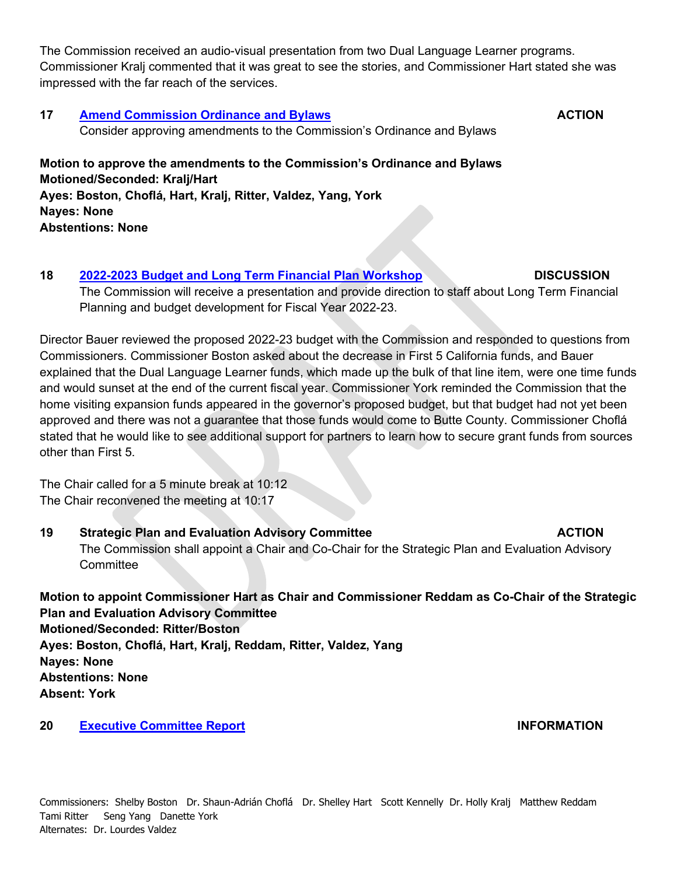The Commission received an audio-visual presentation from two Dual Language Learner programs. Commissioner Kralj commented that it was great to see the stories, and Commissioner Hart stated she was impressed with the far reach of the services.

**17 [Amend Commission Ordinance and Bylaws](https://first5butte.org/assets/Meetings/Agendas/commission/2022-04-29/Item-17-Ordinance-and-Bylaw-Amendment-Staff-Report.pdf) ACTION** Consider approving amendments to the Commission's Ordinance and Bylaws **Motion to approve the amendments to the Commission's Ordinance and Bylaws Motioned/Seconded: Kralj/Hart**

**Ayes: Boston, Choflá, Hart, Kralj, Ritter, Valdez, Yang, York Nayes: None Abstentions: None**

**18 2022-2023 Budget [and Long Term Financial Plan](https://first5butte.org/assets/Meetings/Agendas/commission/2022-04-29/Item-18-Budget-and-LTFP-Workshop.pdf) Workshop DISCUSSION**  The Commission will receive a presentation and provide direction to staff about Long Term Financial Planning and budget development for Fiscal Year 2022-23.

Director Bauer reviewed the proposed 2022-23 budget with the Commission and responded to questions from Commissioners. Commissioner Boston asked about the decrease in First 5 California funds, and Bauer explained that the Dual Language Learner funds, which made up the bulk of that line item, were one time funds and would sunset at the end of the current fiscal year. Commissioner York reminded the Commission that the home visiting expansion funds appeared in the governor's proposed budget, but that budget had not yet been approved and there was not a guarantee that those funds would come to Butte County. Commissioner Choflá stated that he would like to see additional support for partners to learn how to secure grant funds from sources other than First 5.

The Chair called for a 5 minute break at 10:12 The Chair reconvened the meeting at 10:17

19 Strategic Plan and Evaluation Advisory Committee **ACTION** The Commission shall appoint a Chair and Co-Chair for the Strategic Plan and Evaluation Advisory **Committee** 

**Motion to appoint Commissioner Hart as Chair and Commissioner Reddam as Co-Chair of the Strategic Plan and Evaluation Advisory Committee Motioned/Seconded: Ritter/Boston Ayes: Boston, Choflá, Hart, Kralj, Reddam, Ritter, Valdez, Yang Nayes: None Abstentions: None Absent: York**

**20 [Executive Committee Report](https://first5butte.org/assets/Meetings/Agendas/commission/2022-04-29/Item-20-Executive-Committee-Summary-DRAFT.pdf) INFORMATION**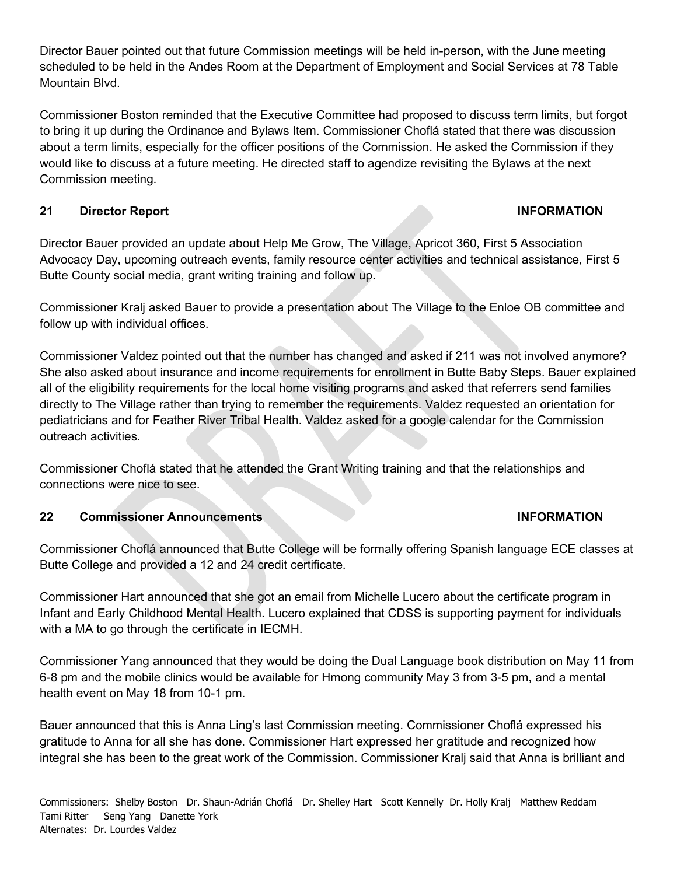Director Bauer pointed out that future Commission meetings will be held in-person, with the June meeting scheduled to be held in the Andes Room at the Department of Employment and Social Services at 78 Table Mountain Blvd.

Commissioner Boston reminded that the Executive Committee had proposed to discuss term limits, but forgot to bring it up during the Ordinance and Bylaws Item. Commissioner Choflá stated that there was discussion about a term limits, especially for the officer positions of the Commission. He asked the Commission if they would like to discuss at a future meeting. He directed staff to agendize revisiting the Bylaws at the next Commission meeting.

# **21 Director Report INFORMATION**

Director Bauer provided an update about Help Me Grow, The Village, Apricot 360, First 5 Association Advocacy Day, upcoming outreach events, family resource center activities and technical assistance, First 5 Butte County social media, grant writing training and follow up.

Commissioner Kralj asked Bauer to provide a presentation about The Village to the Enloe OB committee and follow up with individual offices.

Commissioner Valdez pointed out that the number has changed and asked if 211 was not involved anymore? She also asked about insurance and income requirements for enrollment in Butte Baby Steps. Bauer explained all of the eligibility requirements for the local home visiting programs and asked that referrers send families directly to The Village rather than trying to remember the requirements. Valdez requested an orientation for pediatricians and for Feather River Tribal Health. Valdez asked for a google calendar for the Commission outreach activities.

Commissioner Choflá stated that he attended the Grant Writing training and that the relationships and connections were nice to see.

# **22 Commissioner Announcements INFORMATION**

Commissioner Choflá announced that Butte College will be formally offering Spanish language ECE classes at Butte College and provided a 12 and 24 credit certificate.

Commissioner Hart announced that she got an email from Michelle Lucero about the certificate program in Infant and Early Childhood Mental Health. Lucero explained that CDSS is supporting payment for individuals with a MA to go through the certificate in IECMH.

Commissioner Yang announced that they would be doing the Dual Language book distribution on May 11 from 6-8 pm and the mobile clinics would be available for Hmong community May 3 from 3-5 pm, and a mental health event on May 18 from 10-1 pm.

Bauer announced that this is Anna Ling's last Commission meeting. Commissioner Choflá expressed his gratitude to Anna for all she has done. Commissioner Hart expressed her gratitude and recognized how integral she has been to the great work of the Commission. Commissioner Kralj said that Anna is brilliant and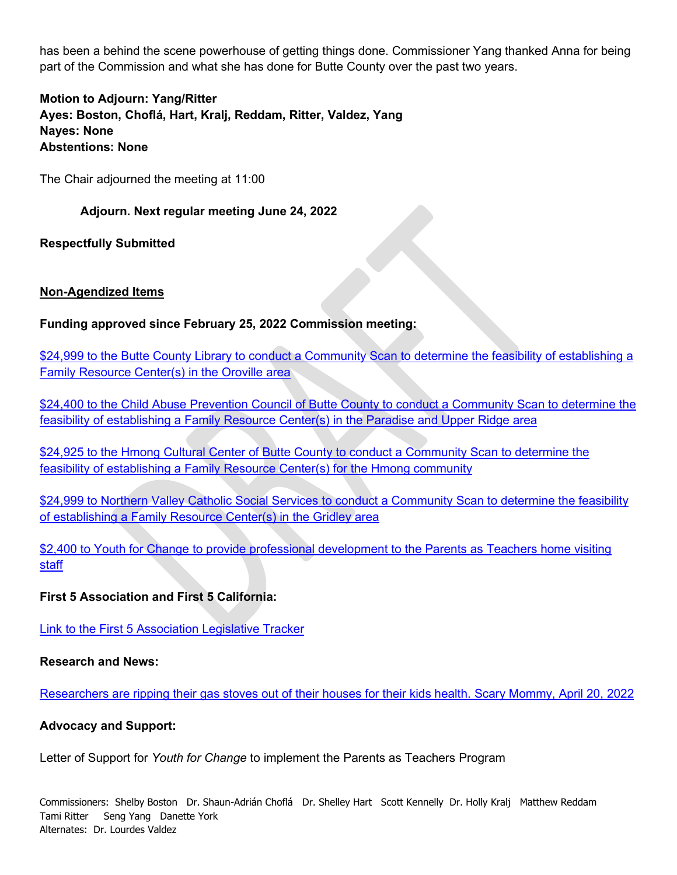has been a behind the scene powerhouse of getting things done. Commissioner Yang thanked Anna for being part of the Commission and what she has done for Butte County over the past two years.

**Motion to Adjourn: Yang/Ritter Ayes: Boston, Choflá, Hart, Kralj, Reddam, Ritter, Valdez, Yang Nayes: None Abstentions: None**

The Chair adjourned the meeting at 11:00

### **Adjourn. Next regular meeting June 24, 2022**

**Respectfully Submitted**

### **Non-Agendized Items**

### **Funding approved since February 25, 2022 Commission meeting:**

\$24,999 to the Butte County Library [to conduct a Community Scan to determine the feasibility of establishing a](https://first5butte.org/assets/Meetings/Agendas/commission/2022-04-29/NA-Library-FRC-Contract-Final.pdf)  [Family Resource Center\(s\) in the Oroville area](https://first5butte.org/assets/Meetings/Agendas/commission/2022-04-29/NA-Library-FRC-Contract-Final.pdf)

\$24,400 to the Child Abuse Prevention Council of Butte County to conduct a Community Scan to determine the [feasibility of establishing a Family Resource Center\(s\) in the Paradise and Upper Ridge area](https://first5butte.org/assets/Meetings/Agendas/commission/2022-04-29/NA-First-5-CAPC-FRC-4.25.22.pdf)

\$24,925 to the Hmong Cultural Center of Butte County to conduct a Community Scan to determine the [feasibility of establishing a Family Resource Center\(s\) for the Hmong community](https://first5butte.org/assets/Meetings/Agendas/commission/2022-04-29/NA-HCCBC-FRC-Contract-Final.pdf)

\$24,999 to Northern Valley Catholic Social Services to conduct a Community Scan to determine the feasibility [of establishing a Family Resource Center\(s\) in the Gridley area](https://first5butte.org/assets/Meetings/Agendas/commission/2022-04-29/NA-NVCSS-FRC-Contract-Final.pdf)

\$2,400 to Youth for Change to provide professional development to the Parents as Teachers home visiting [staff](https://first5butte.org/assets/Meetings/Agendas/commission/2022-04-29/NA-YFC-MOU-HVC.pdf)

### **First 5 Association and First 5 California:**

[Link to the First 5 Association Legislative Tracker](https://app.box.com/s/cd36kku1vwdbunexuwuya6r2nvxx675e)

#### **Research and News:**

[Researchers are ripping their gas stoves out of their houses for their kids health. Scary Mommy, April 20, 2022](https://www.scarymommy.com/lifestyle/researchers-gas-stove-pollution-kids-health)

#### **Advocacy and Support:**

Letter of Support for *Youth for Change* to implement the Parents as Teachers Program